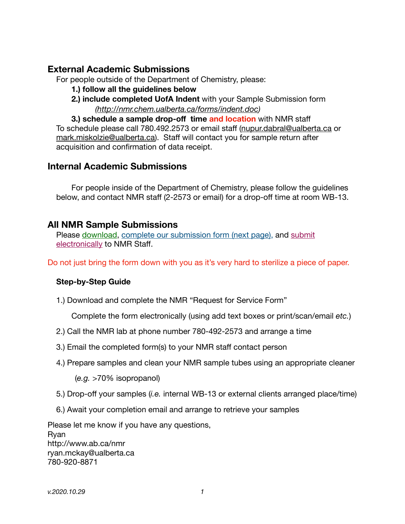## **External Academic Submissions**

For people outside of the Department of Chemistry, please:

- **1.) follow all the guidelines below**
- **2.) include completed UofA Indent** with your Sample Submission form *[\(http://nmr.chem.ualberta.ca/forms/indent.doc\)](http://nmr.chem.ualberta.ca/forms/indent.doc)*

**3.) schedule a sample drop-off time and location** with NMR staff To schedule please call 780.492.2573 or email staff ([nupur.dabral@ualberta.ca](mailto:nupur.dabral@ualberta.ca) or [mark.miskolzie@ualberta.ca](mailto:mark.miskolzie@ualberta.ca)). Staff will contact you for sample return after acquisition and confirmation of data receipt.

## **Internal Academic Submissions**

For people inside of the Department of Chemistry, please follow the guidelines below, and contact NMR staff (2-2573 or email) for a drop-off time at room WB-13.

## **All NMR Sample Submissions**

Please download, complete our submission form (next page), and submit electronically to NMR Staff.

Do not just bring the form down with you as it's very hard to sterilize a piece of paper.

#### **Step-by-Step Guide**

1.) Download and complete the NMR "Request for Service Form"

 Complete the form electronically (using add text boxes or print/scan/email *etc.*)

- 2.) Call the NMR lab at phone number 780-492-2573 and arrange a time
- 3.) Email the completed form(s) to your NMR staff contact person
- 4.) Prepare samples and clean your NMR sample tubes using an appropriate cleaner

(*e.g.* >70% isopropanol)

- 5.) Drop-off your samples (*i.e.* internal WB-13 or external clients arranged place/time)
- 6.) Await your completion email and arrange to retrieve your samples

Please let me know if you have any questions, Ryan http://www.ab.ca/nmr ryan.mckay@ualberta.ca 780-920-8871